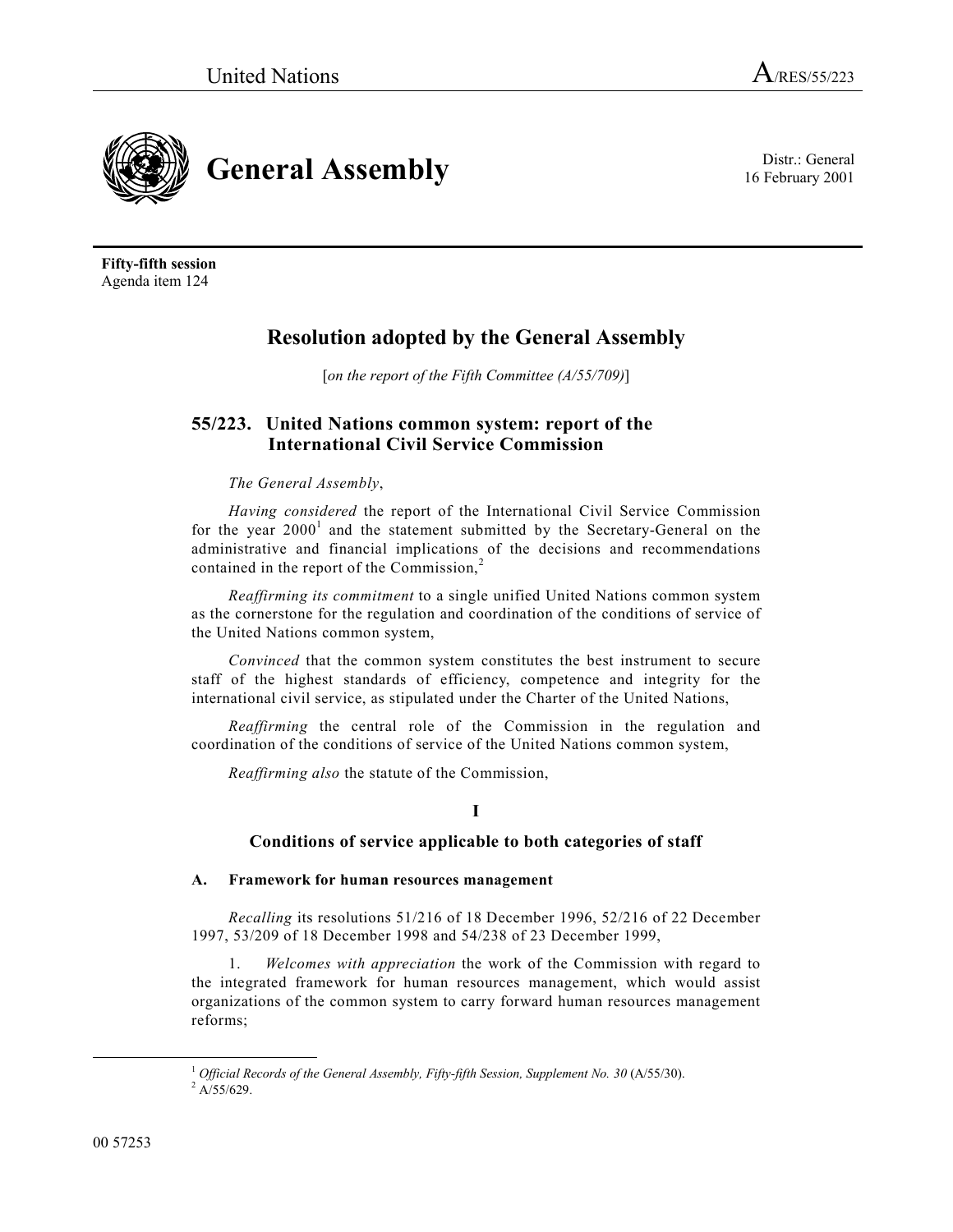16 February 2001



**Fifty-fifth session** Agenda item 124

# **Resolution adopted by the General Assembly**

[*on the report of the Fifth Committee (A/55/709)*]

## **55/223. United Nations common system: report of the International Civil Service Commission**

## *The General Assembly*,

*Having considered* the report of the International Civil Service Commission for the year  $2000<sup>1</sup>$  and the statement submitted by the Secretary-General on the administrative and financial implications of the decisions and recommendations contained in the report of the Commission,<sup>2</sup>

*Reaffirming its commitment* to a single unified United Nations common system as the cornerstone for the regulation and coordination of the conditions of service of the United Nations common system,

*Convinced* that the common system constitutes the best instrument to secure staff of the highest standards of efficiency, competence and integrity for the international civil service, as stipulated under the Charter of the United Nations,

*Reaffirming* the central role of the Commission in the regulation and coordination of the conditions of service of the United Nations common system,

*Reaffirming also* the statute of the Commission,

## **Conditions of service applicable to both categories of staff**

## **A. Framework for human resources management**

*Recalling* its resolutions 51/216 of 18 December 1996, 52/216 of 22 December 1997, 53/209 of 18 December 1998 and 54/238 of 23 December 1999,

1. *Welcomes with appreciation* the work of the Commission with regard to the integrated framework for human resources management, which would assist organizations of the common system to carry forward human resources management reforms;

<sup>&</sup>lt;sup>1</sup> Official Records of the General Assembly, Fifty-fifth Session, Supplement No. 30 (A/55/30).  $^{2}$  A/55/629.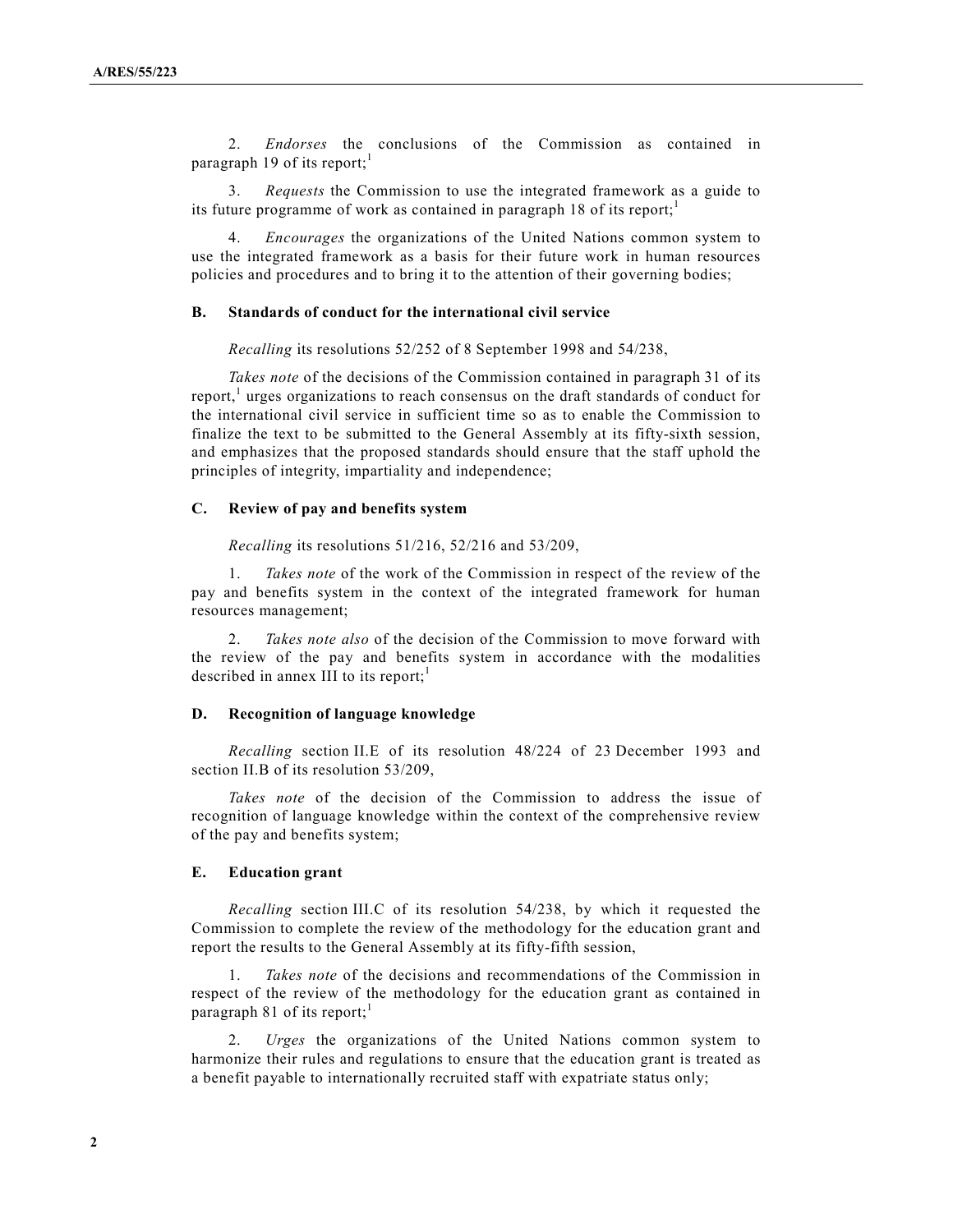2. *Endorses* the conclusions of the Commission as contained in paragraph 19 of its report;<sup>1</sup>

3. *Requests* the Commission to use the integrated framework as a guide to its future programme of work as contained in paragraph 18 of its report;

4. *Encourages* the organizations of the United Nations common system to use the integrated framework as a basis for their future work in human resources policies and procedures and to bring it to the attention of their governing bodies;

#### **B. Standards of conduct for the international civil service**

*Recalling* its resolutions 52/252 of 8 September 1998 and 54/238,

*Takes note* of the decisions of the Commission contained in paragraph 31 of its report,<sup>1</sup> urges organizations to reach consensus on the draft standards of conduct for the international civil service in sufficient time so as to enable the Commission to finalize the text to be submitted to the General Assembly at its fifty-sixth session, and emphasizes that the proposed standards should ensure that the staff uphold the principles of integrity, impartiality and independence;

#### **C. Review of pay and benefits system**

*Recalling* its resolutions 51/216, 52/216 and 53/209,

1. *Takes note* of the work of the Commission in respect of the review of the pay and benefits system in the context of the integrated framework for human resources management;

2. *Takes note also* of the decision of the Commission to move forward with the review of the pay and benefits system in accordance with the modalities described in annex III to its report; $<sup>1</sup>$ </sup>

#### **D. Recognition of language knowledge**

*Recalling* section II.E of its resolution 48/224 of 23 December 1993 and section II.B of its resolution 53/209,

*Takes note* of the decision of the Commission to address the issue of recognition of language knowledge within the context of the comprehensive review of the pay and benefits system;

#### **E. Education grant**

*Recalling* section III.C of its resolution 54/238, by which it requested the Commission to complete the review of the methodology for the education grant and report the results to the General Assembly at its fifty-fifth session,

1. *Takes note* of the decisions and recommendations of the Commission in respect of the review of the methodology for the education grant as contained in paragraph 81 of its report; $<sup>1</sup>$ </sup>

2. *Urges* the organizations of the United Nations common system to harmonize their rules and regulations to ensure that the education grant is treated as a benefit payable to internationally recruited staff with expatriate status only;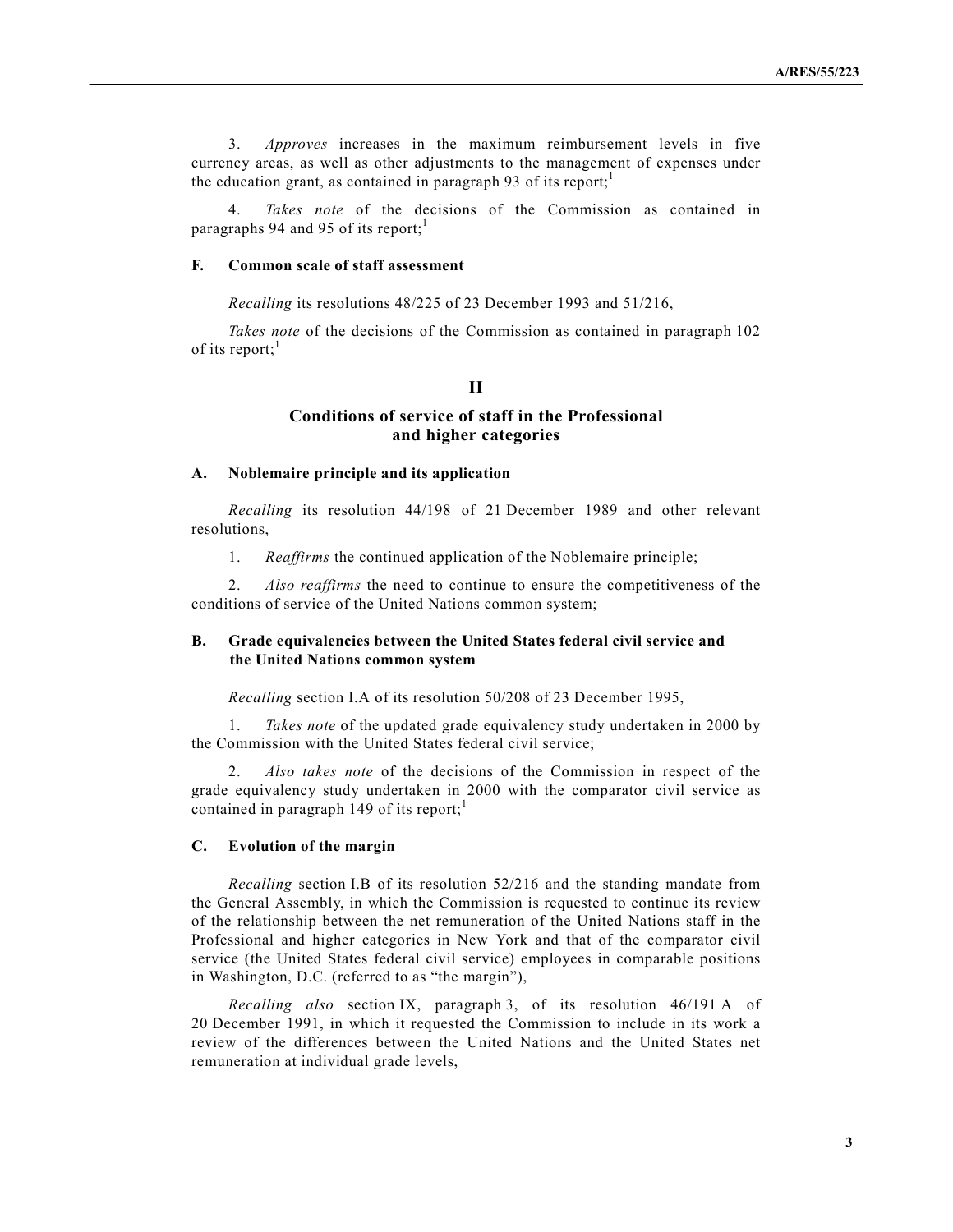3. *Approves* increases in the maximum reimbursement levels in five currency areas, as well as other adjustments to the management of expenses under the education grant, as contained in paragraph 93 of its report;<sup>1</sup>

Takes note of the decisions of the Commission as contained in paragraphs 94 and 95 of its report;<sup>1</sup>

#### **F. Common scale of staff assessment**

*Recalling* its resolutions 48/225 of 23 December 1993 and 51/216,

*Takes note* of the decisions of the Commission as contained in paragraph 102 of its report; $<sup>1</sup>$ </sup>

#### **II**

## **Conditions of service of staff in the Professional and higher categories**

#### **A. Noblemaire principle and its application**

*Recalling* its resolution 44/198 of 21 December 1989 and other relevant resolutions,

1. *Reaffirms* the continued application of the Noblemaire principle;

2. *Also reaffirms* the need to continue to ensure the competitiveness of the conditions of service of the United Nations common system;

## **B. Grade equivalencies between the United States federal civil service and the United Nations common system**

*Recalling* section I.A of its resolution 50/208 of 23 December 1995,

1. *Takes note* of the updated grade equivalency study undertaken in 2000 by the Commission with the United States federal civil service;

2. *Also takes note* of the decisions of the Commission in respect of the grade equivalency study undertaken in 2000 with the comparator civil service as contained in paragraph 149 of its report; $<sup>1</sup>$ </sup>

## **C. Evolution of the margin**

*Recalling* section I.B of its resolution 52/216 and the standing mandate from the General Assembly, in which the Commission is requested to continue its review of the relationship between the net remuneration of the United Nations staff in the Professional and higher categories in New York and that of the comparator civil service (the United States federal civil service) employees in comparable positions in Washington, D.C. (referred to as "the margin"),

*Recalling also* section IX, paragraph 3, of its resolution 46/191 A of 20 December 1991, in which it requested the Commission to include in its work a review of the differences between the United Nations and the United States net remuneration at individual grade levels,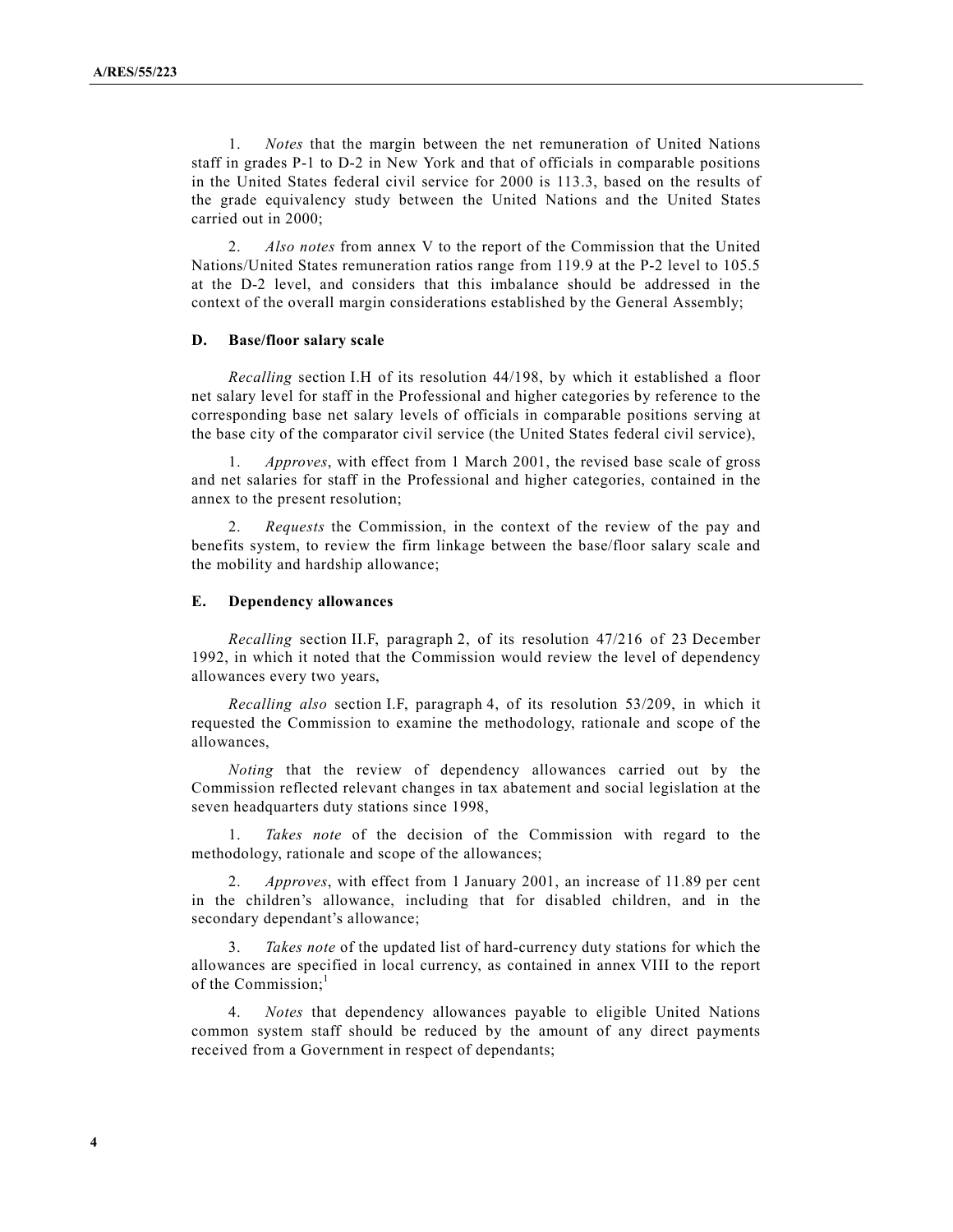1. *Notes* that the margin between the net remuneration of United Nations staff in grades P-1 to D-2 in New York and that of officials in comparable positions in the United States federal civil service for 2000 is 113.3, based on the results of the grade equivalency study between the United Nations and the United States carried out in 2000;

2. *Also notes* from annex V to the report of the Commission that the United Nations/United States remuneration ratios range from 119.9 at the P-2 level to 105.5 at the D-2 level, and considers that this imbalance should be addressed in the context of the overall margin considerations established by the General Assembly;

#### **D. Base/floor salary scale**

*Recalling* section I.H of its resolution 44/198, by which it established a floor net salary level for staff in the Professional and higher categories by reference to the corresponding base net salary levels of officials in comparable positions serving at the base city of the comparator civil service (the United States federal civil service),

1. *Approves*, with effect from 1 March 2001, the revised base scale of gross and net salaries for staff in the Professional and higher categories, contained in the annex to the present resolution;

2. *Requests* the Commission, in the context of the review of the pay and benefits system, to review the firm linkage between the base/floor salary scale and the mobility and hardship allowance;

#### **E. Dependency allowances**

*Recalling* section II.F, paragraph 2, of its resolution 47/216 of 23 December 1992, in which it noted that the Commission would review the level of dependency allowances every two years,

*Recalling also* section I.F, paragraph 4, of its resolution 53/209, in which it requested the Commission to examine the methodology, rationale and scope of the allowances,

*Noting* that the review of dependency allowances carried out by the Commission reflected relevant changes in tax abatement and social legislation at the seven headquarters duty stations since 1998,

1. *Takes note* of the decision of the Commission with regard to the methodology, rationale and scope of the allowances;

2. *Approves*, with effect from 1 January 2001, an increase of 11.89 per cent in the children's allowance, including that for disabled children, and in the secondary dependant's allowance;

3. *Takes note* of the updated list of hard-currency duty stations for which the allowances are specified in local currency, as contained in annex VIII to the report of the Commission; $<sup>1</sup>$ </sup>

4. *Notes* that dependency allowances payable to eligible United Nations common system staff should be reduced by the amount of any direct payments received from a Government in respect of dependants;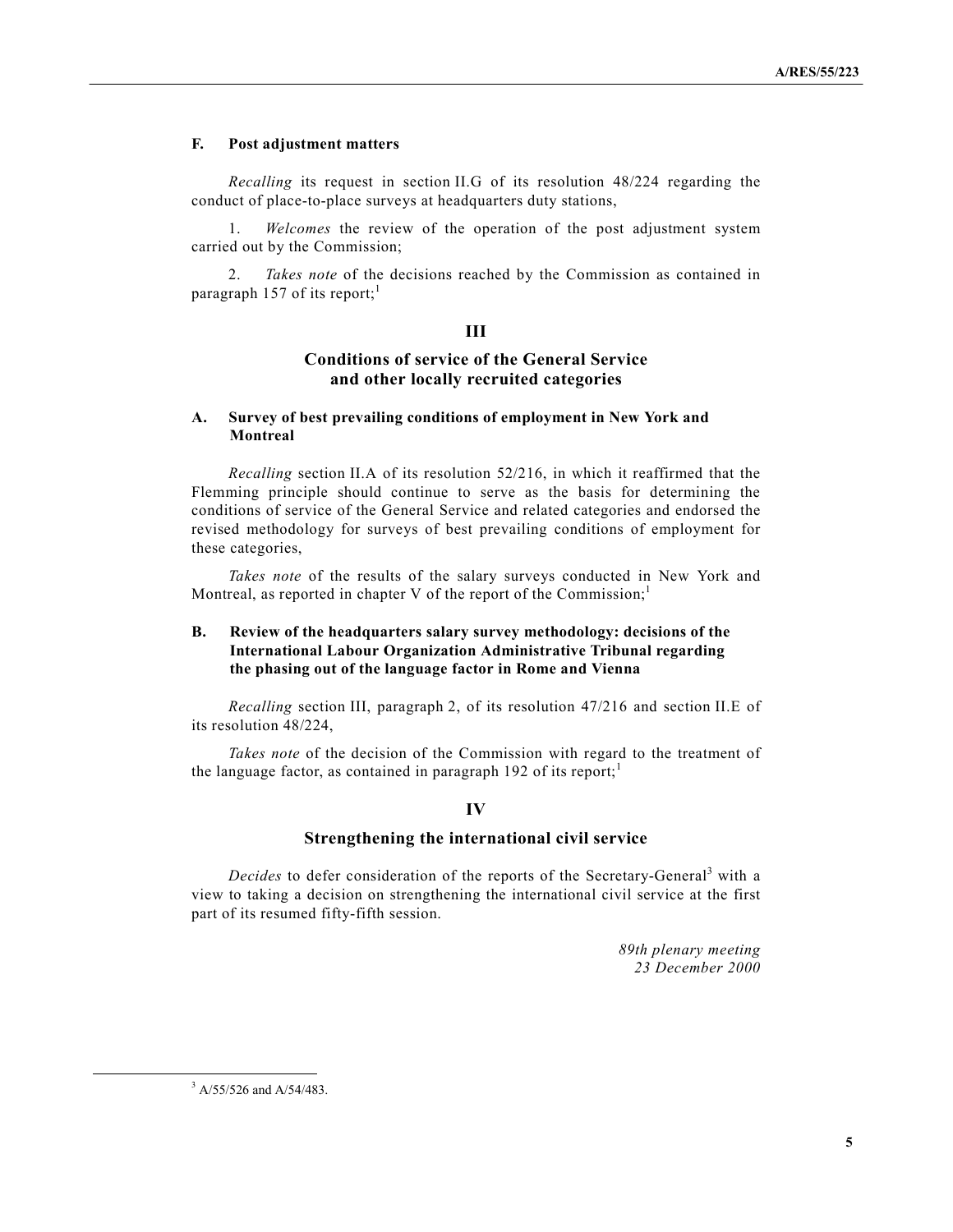## **F. Post adjustment matters**

*Recalling* its request in section II.G of its resolution 48/224 regarding the conduct of place-to-place surveys at headquarters duty stations,

1. *Welcomes* the review of the operation of the post adjustment system carried out by the Commission;

2. *Takes note* of the decisions reached by the Commission as contained in paragraph 157 of its report;<sup>1</sup>

#### **III**

## **Conditions of service of the General Service and other locally recruited categories**

## **A. Survey of best prevailing conditions of employment in New York and Montreal**

*Recalling* section II.A of its resolution 52/216, in which it reaffirmed that the Flemming principle should continue to serve as the basis for determining the conditions of service of the General Service and related categories and endorsed the revised methodology for surveys of best prevailing conditions of employment for these categories,

*Takes note* of the results of the salary surveys conducted in New York and Montreal, as reported in chapter V of the report of the Commission; $<sup>1</sup>$ </sup>

## **B. Review of the headquarters salary survey methodology: decisions of the International Labour Organization Administrative Tribunal regarding the phasing out of the language factor in Rome and Vienna**

*Recalling* section III, paragraph 2, of its resolution 47/216 and section II.E of its resolution 48/224,

*Takes note* of the decision of the Commission with regard to the treatment of the language factor, as contained in paragraph 192 of its report;<sup>1</sup>

## **IV**

## **Strengthening the international civil service**

Decides to defer consideration of the reports of the Secretary-General<sup>3</sup> with a view to taking a decision on strengthening the international civil service at the first part of its resumed fifty-fifth session.

> *89th plenary meeting 23 December 2000*

 <sup>3</sup>  $3$  A/55/526 and A/54/483.